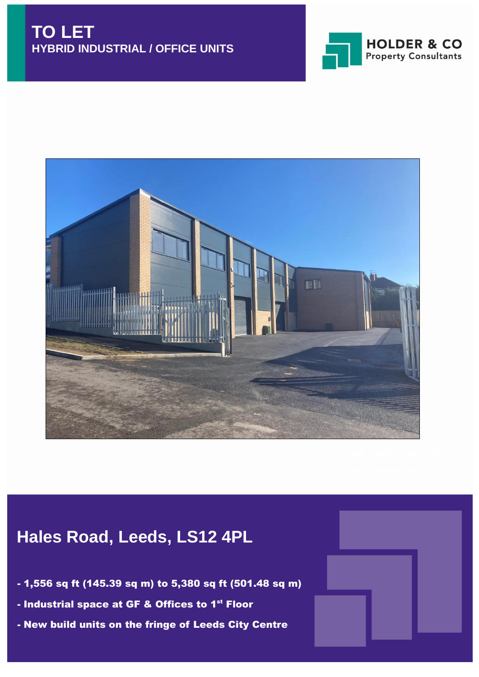



# **Hales Road, Leeds, LS12 4PL**

- 1,556 sq ft (145.39 sq m) to 5,380 sq ft (501.48 sq m)
- Industrial space at GF & Offices to 1<sup>st</sup> Floor
- New build units on the fringe of Leeds City Centre